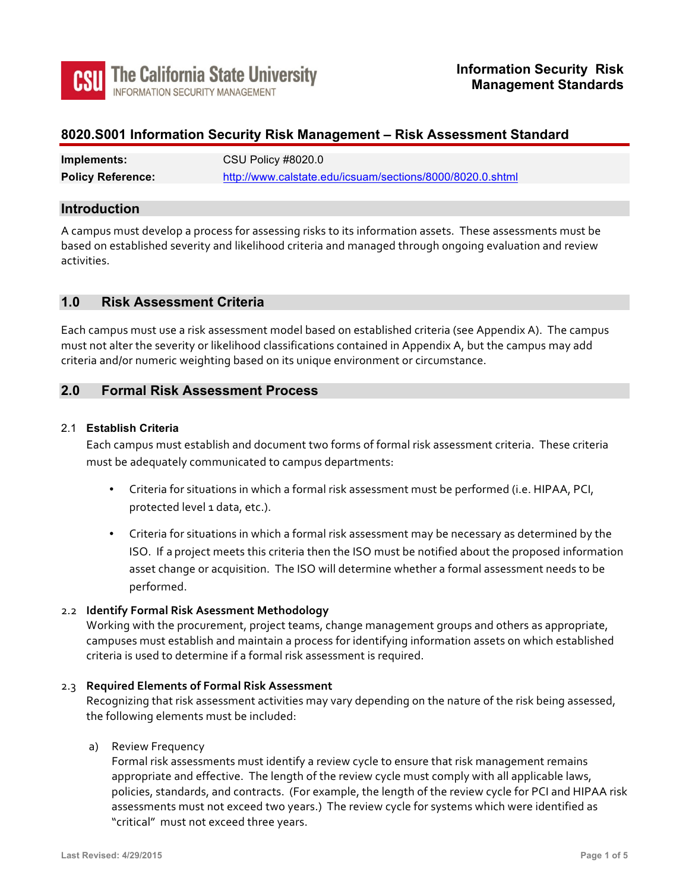

## 8020.S001 Information Security Risk Management - Risk Assessment Standard

| Implements:              | CSU Policy #8020.0                                        |  |  |
|--------------------------|-----------------------------------------------------------|--|--|
| <b>Policy Reference:</b> | http://www.calstate.edu/icsuam/sections/8000/8020.0.shtml |  |  |

## **Introduction**

A campus must develop a process for assessing risks to its information assets. These assessments must be based on established severity and likelihood criteria and managed through ongoing evaluation and review activities.

## **1.0 Risk Assessment Criteria**

Each campus must use a risk assessment model based on established criteria (see Appendix A). The campus must not alter the severity or likelihood classifications contained in Appendix A, but the campus may add criteria and/or numeric weighting based on its unique environment or circumstance.

## **2.0 Formal Risk Assessment Process**

#### 2.1 **Establish Criteria**

Each campus must establish and document two forms of formal risk assessment criteria. These criteria must be adequately communicated to campus departments:

- Criteria for situations in which a formal risk assessment must be performed (i.e. HIPAA, PCI, protected level 1 data, etc.).
- Criteria for situations in which a formal risk assessment may be necessary as determined by the ISO. If a project meets this criteria then the ISO must be notified about the proposed information asset change or acquisition. The ISO will determine whether a formal assessment needs to be performed.

## 2.2 **Identify Formal Risk Asessment Methodology**

Working with the procurement, project teams, change management groups and others as appropriate, campuses must establish and maintain a process for identifying information assets on which established criteria is used to determine if a formal risk assessment is required.

#### 2.3 **Required Elements of Formal Risk Assessment**

 Recognizing that risk assessment activities may vary depending on the nature of the risk being assessed, the following elements must be included:

## a) Review Frequency

Formal risk assessments must identify a review cycle to ensure that risk management remains appropriate and effective. The length of the review cycle must comply with all applicable laws, policies, standards, and contracts. (For example, the length of the review cycle for PCI and HIPAA risk assessments must not exceed two years.) The review cycle for systems which were identified as "critical" must not exceed three years.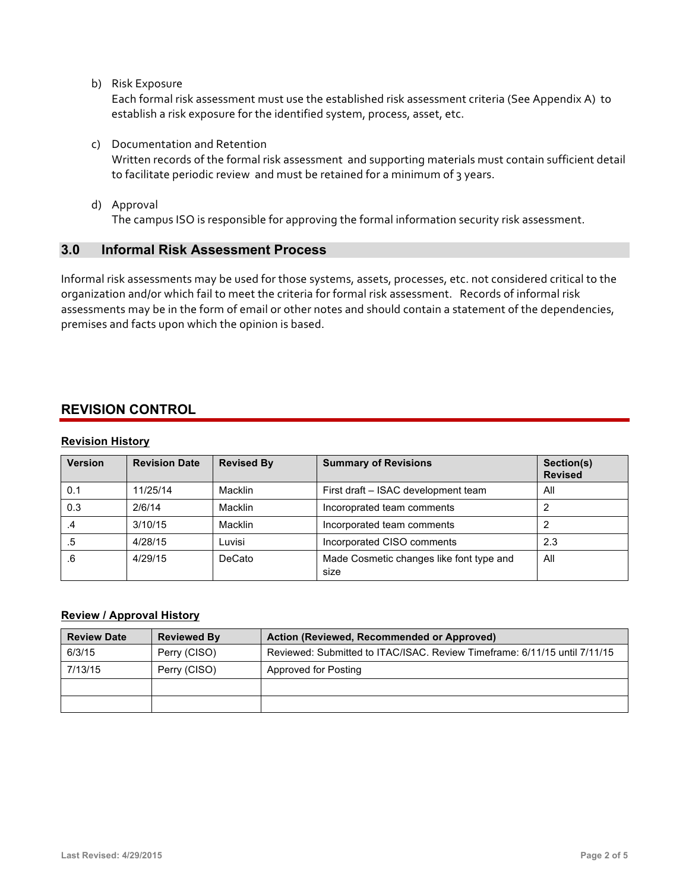b) Risk Exposure

Each formal risk assessment must use the established risk assessment criteria (See Appendix A) to establish a risk exposure for the identified system, process, asset, etc.

 c) Documentation and Retention

 Written records of the formal risk assessment and supporting materials must contain sufficient detail to facilitate periodic review and must be retained for a minimum of 3 years.

 d) Approval

The campus ISO is responsible for approving the formal information security risk assessment.

## **3.0 Informal Risk A ssessment Process**

Informal risk assessments may be used for those systems, assets, processes, etc. not considered critical to the organization and/or which fail to meet the criteria for formal risk assessment. Records of informal risk assessments may be in the form of email or other notes and should contain a statement of the dependencies, premises and facts upon which the opinion is based.

## **REVISION CONTROL**

## **Revision History**

| <b>Version</b> | <b>Revision Date</b> | <b>Revised By</b> | <b>Summary of Revisions</b>                      | Section(s)<br><b>Revised</b> |
|----------------|----------------------|-------------------|--------------------------------------------------|------------------------------|
| 0.1            | 11/25/14             | Macklin           | First draft - ISAC development team              | All                          |
| 0.3            | 2/6/14               | Macklin           | Incoroprated team comments                       |                              |
| .4             | 3/10/15              | Macklin           | Incorporated team comments                       |                              |
| .5             | 4/28/15              | Luvisi            | Incorporated CISO comments                       | 2.3                          |
| .6             | 4/29/15              | DeCato            | Made Cosmetic changes like font type and<br>size | All                          |

## **Review / Approval History**

| <b>Review Date</b> | <b>Reviewed By</b> | Action (Reviewed, Recommended or Approved)                                |  |  |
|--------------------|--------------------|---------------------------------------------------------------------------|--|--|
| 6/3/15             | Perry (CISO)       | Reviewed: Submitted to ITAC/ISAC. Review Timeframe: 6/11/15 until 7/11/15 |  |  |
| 7/13/15            | Perry (CISO)       | Approved for Posting                                                      |  |  |
|                    |                    |                                                                           |  |  |
|                    |                    |                                                                           |  |  |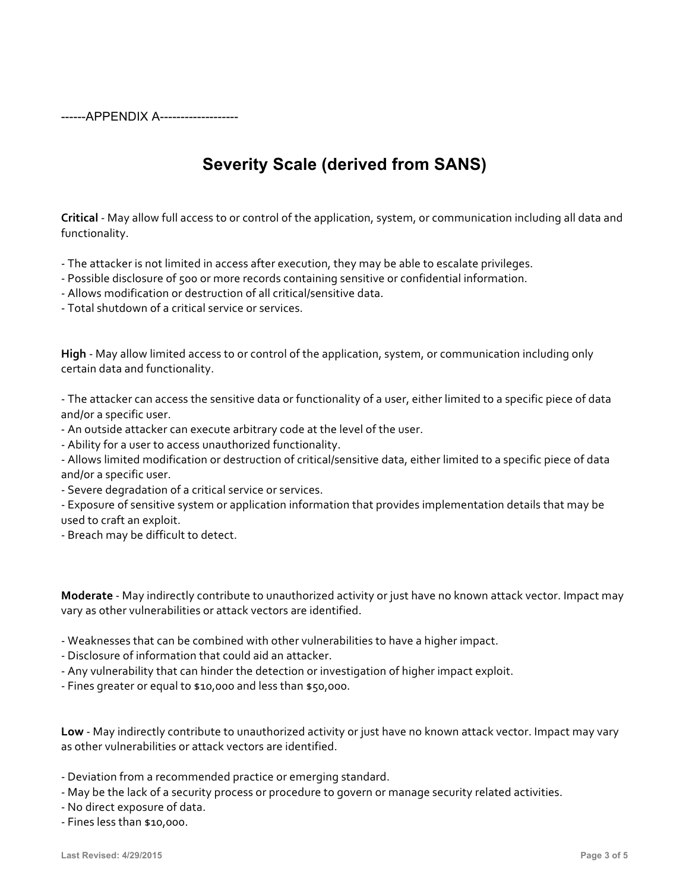------APPENDIX A-------------------

# **Severity Scale (derived from SANS)**

 **Critical** - May allow full access to or control of the application, system, or communication including all data and functionality.

- The attacker is not limited in access after execution, they may be able to escalate privileges.

- Possible disclosure of 500 or more records containing sensitive or confidential information.

 - Allows modification or destruction of all critical/sensitive data.

- Total shutdown of a critical service or services.

High - May allow limited access to or control of the application, system, or communication including only certain data and functionality.

- The attacker can access the sensitive data or functionality of a user, either limited to a specific piece of data and/or a specific user.

- An outside attacker can execute arbitrary code at the level of the user.

 - Ability for a user to access unauthorized functionality.

 - Allows limited modification or destruction of critical/sensitive data, either limited to a specific piece of data and/or a specific user.

- Severe degradation of a critical service or services.

- Exposure of sensitive system or application information that provides implementation details that may be used to craft an exploit.

 - Breach may be difficult to detect.

 **Moderate** - May indirectly contribute to unauthorized activity or just have no known attack vector. Impact may vary as other vulnerabilities or attack vectors are identified.

 - Weaknesses that can be combined with other vulnerabilities to have a higher impact.

- Disclosure of information that could aid an attacker.

 - Any vulnerability that can hinder the detection or investigation of higher impact exploit.

- Fines greater or equal to \$10,000 and less than \$50,000.

Low - May indirectly contribute to unauthorized activity or just have no known attack vector. Impact may vary as other vulnerabilities or attack vectors are identified.

 - Deviation from a recommended practice or emerging standard.

 - May be the lack of a security process or procedure to govern or manage security related activities.

 - No direct exposure of data.

- Fines less than \$10,000.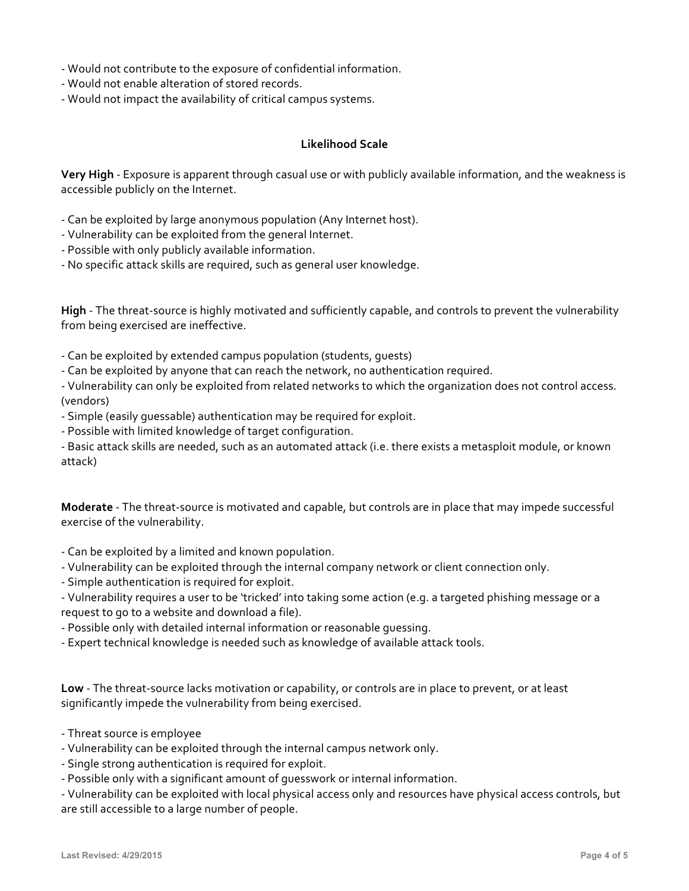- Would not contribute to the exposure of confidential information.

- Would not enable alteration of stored records.
- Would not impact the availability of critical campus systems.

## **Likelihood Scale**

**Very High** - Exposure is apparent through casual use or with publicly available information, and the weakness is accessible publicly on the Internet.

- Can be exploited by large anonymous population (Any Internet host).
- Vulnerability can be exploited from the general Internet.
- Possible with only publicly available information.
- No specific attack skills are required, such as general user knowledge.

**High** - The threat-source is highly motivated and sufficiently capable, and controls to prevent the vulnerability from being exercised are ineffective.

- Can be exploited by extended campus population (students, guests)
- Can be exploited by anyone that can reach the network, no authentication required.

- Vulnerability can only be exploited from related networks to which the organization does not control access. (vendors)

- Simple (easily guessable) authentication may be required for exploit.
- Possible with limited knowledge of target configuration.

- Basic attack skills are needed, such as an automated attack (i.e. there exists a metasploit module, or known attack)

**Moderate** - The threat-source is motivated and capable, but controls are in place that may impede successful exercise of the vulnerability.

- Can be exploited by a limited and known population.
- Vulnerability can be exploited through the internal company network or client connection only.
- Simple authentication is required for exploit.

- Vulnerability requires a user to be 'tricked' into taking some action (e.g. a targeted phishing message or a request to go to a website and download a file).

- Possible only with detailed internal information or reasonable guessing.
- Expert technical knowledge is needed such as knowledge of available attack tools.

Low - The threat-source lacks motivation or capability, or controls are in place to prevent, or at least significantly impede the vulnerability from being exercised.

- Threat source is employee
- Vulnerability can be exploited through the internal campus network only.
- Single strong authentication is required for exploit.
- Possible only with a significant amount of guesswork or internal information.

 - Vulnerability can be exploited with local physical access only and resources have physical access controls, but are still accessible to a large number of people.